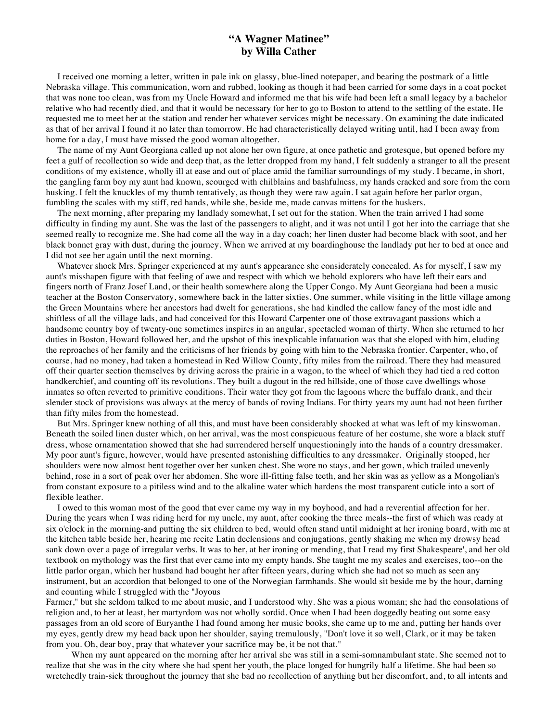## **"A Wagner Matinee" by Willa Cather**

 I received one morning a letter, written in pale ink on glassy, blue-lined notepaper, and bearing the postmark of a little Nebraska village. This communication, worn and rubbed, looking as though it had been carried for some days in a coat pocket that was none too clean, was from my Uncle Howard and informed me that his wife had been left a small legacy by a bachelor relative who had recently died, and that it would be necessary for her to go to Boston to attend to the settling of the estate. He requested me to meet her at the station and render her whatever services might be necessary. On examining the date indicated as that of her arrival I found it no later than tomorrow. He had characteristically delayed writing until, had I been away from home for a day, I must have missed the good woman altogether.

 The name of my Aunt Georgiana called up not alone her own figure, at once pathetic and grotesque, but opened before my feet a gulf of recollection so wide and deep that, as the letter dropped from my hand, I felt suddenly a stranger to all the present conditions of my existence, wholly ill at ease and out of place amid the familiar surroundings of my study. I became, in short, the gangling farm boy my aunt had known, scourged with chilblains and bashfulness, my hands cracked and sore from the corn husking. I felt the knuckles of my thumb tentatively, as though they were raw again. I sat again before her parlor organ, fumbling the scales with my stiff, red hands, while she, beside me, made canvas mittens for the huskers.

 The next morning, after preparing my landlady somewhat, I set out for the station. When the train arrived I had some difficulty in finding my aunt. She was the last of the passengers to alight, and it was not until I got her into the carriage that she seemed really to recognize me. She had come all the way in a day coach; her linen duster had become black with soot, and her black bonnet gray with dust, during the journey. When we arrived at my boardinghouse the landlady put her to bed at once and I did not see her again until the next morning.

 Whatever shock Mrs. Springer experienced at my aunt's appearance she considerately concealed. As for myself, I saw my aunt's misshapen figure with that feeling of awe and respect with which we behold explorers who have left their ears and fingers north of Franz Josef Land, or their health somewhere along the Upper Congo. My Aunt Georgiana had been a music teacher at the Boston Conservatory, somewhere back in the latter sixties. One summer, while visiting in the little village among the Green Mountains where her ancestors had dwelt for generations, she had kindled the callow fancy of the most idle and shiftless of all the village lads, and had conceived for this Howard Carpenter one of those extravagant passions which a handsome country boy of twenty-one sometimes inspires in an angular, spectacled woman of thirty. When she returned to her duties in Boston, Howard followed her, and the upshot of this inexplicable infatuation was that she eloped with him, eluding the reproaches of her family and the criticisms of her friends by going with him to the Nebraska frontier. Carpenter, who, of course, had no money, had taken a homestead in Red Willow County, fifty miles from the railroad. There they had measured off their quarter section themselves by driving across the prairie in a wagon, to the wheel of which they had tied a red cotton handkerchief, and counting off its revolutions. They built a dugout in the red hillside, one of those cave dwellings whose inmates so often reverted to primitive conditions. Their water they got from the lagoons where the buffalo drank, and their slender stock of provisions was always at the mercy of bands of roving Indians. For thirty years my aunt had not been further than fifty miles from the homestead.

 But Mrs. Springer knew nothing of all this, and must have been considerably shocked at what was left of my kinswoman. Beneath the soiled linen duster which, on her arrival, was the most conspicuous feature of her costume, she wore a black stuff dress, whose ornamentation showed that she had surrendered herself unquestioningly into the hands of a country dressmaker. My poor aunt's figure, however, would have presented astonishing difficulties to any dressmaker. Originally stooped, her shoulders were now almost bent together over her sunken chest. She wore no stays, and her gown, which trailed unevenly behind, rose in a sort of peak over her abdomen. She wore ill-fitting false teeth, and her skin was as yellow as a Mongolian's from constant exposure to a pitiless wind and to the alkaline water which hardens the most transparent cuticle into a sort of flexible leather.

 I owed to this woman most of the good that ever came my way in my boyhood, and had a reverential affection for her. During the years when I was riding herd for my uncle, my aunt, after cooking the three meals--the first of which was ready at six o'clock in the morning-and putting the six children to bed, would often stand until midnight at her ironing board, with me at the kitchen table beside her, hearing me recite Latin declensions and conjugations, gently shaking me when my drowsy head sank down over a page of irregular verbs. It was to her, at her ironing or mending, that I read my first Shakespeare', and her old textbook on mythology was the first that ever came into my empty hands. She taught me my scales and exercises, too--on the little parlor organ, which her husband had bought her after fifteen years, during which she had not so much as seen any instrument, but an accordion that belonged to one of the Norwegian farmhands. She would sit beside me by the hour, darning and counting while I struggled with the "Joyous

Farmer," but she seldom talked to me about music, and I understood why. She was a pious woman; she had the consolations of religion and, to her at least, her martyrdom was not wholly sordid. Once when I had been doggedly beating out some easy passages from an old score of Euryanthe I had found among her music books, she came up to me and, putting her hands over my eyes, gently drew my head back upon her shoulder, saying tremulously, "Don't love it so well, Clark, or it may be taken from you. Oh, dear boy, pray that whatever your sacrifice may be, it be not that."

When my aunt appeared on the morning after her arrival she was still in a semi-somnambulant state. She seemed not to realize that she was in the city where she had spent her youth, the place longed for hungrily half a lifetime. She had been so wretchedly train-sick throughout the journey that she bad no recollection of anything but her discomfort, and, to all intents and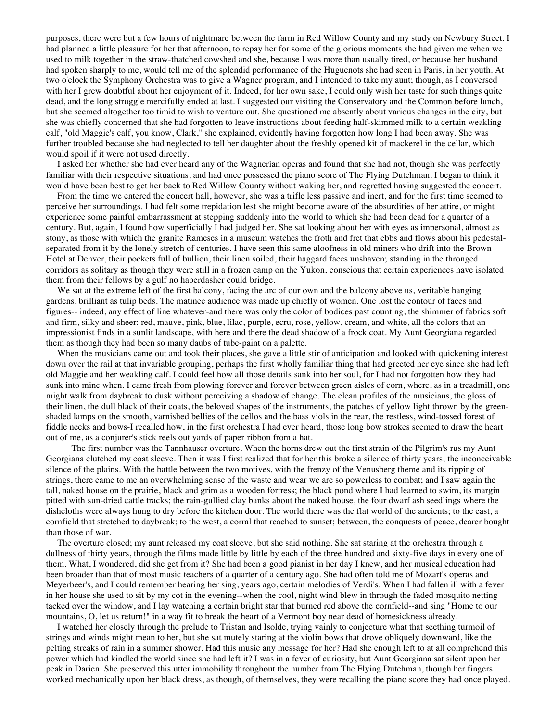purposes, there were but a few hours of nightmare between the farm in Red Willow County and my study on Newbury Street. I had planned a little pleasure for her that afternoon, to repay her for some of the glorious moments she had given me when we used to milk together in the straw-thatched cowshed and she, because I was more than usually tired, or because her husband had spoken sharply to me, would tell me of the splendid performance of the Huguenots she had seen in Paris, in her youth. At two o'clock the Symphony Orchestra was to give a Wagner program, and I intended to take my aunt; though, as I conversed with her I grew doubtful about her enjoyment of it. Indeed, for her own sake, I could only wish her taste for such things quite dead, and the long struggle mercifully ended at last. I suggested our visiting the Conservatory and the Common before lunch, but she seemed altogether too timid to wish to venture out. She questioned me absently about various changes in the city, but she was chiefly concerned that she had forgotten to leave instructions about feeding half-skimmed milk to a certain weakling calf, "old Maggie's calf, you know, Clark," she explained, evidently having forgotten how long I had been away. She was further troubled because she had neglected to tell her daughter about the freshly opened kit of mackerel in the cellar, which would spoil if it were not used directly.

 I asked her whether she had ever heard any of the Wagnerian operas and found that she had not, though she was perfectly familiar with their respective situations, and had once possessed the piano score of The Flying Dutchman. I began to think it would have been best to get her back to Red Willow County without waking her, and regretted having suggested the concert.

 From the time we entered the concert hall, however, she was a trifle less passive and inert, and for the first time seemed to perceive her surroundings. I had felt some trepidation lest she might become aware of the absurdities of her attire, or might experience some painful embarrassment at stepping suddenly into the world to which she had been dead for a quarter of a century. But, again, I found how superficially I had judged her. She sat looking about her with eyes as impersonal, almost as stony, as those with which the granite Rameses in a museum watches the froth and fret that ebbs and flows about his pedestalseparated from it by the lonely stretch of centuries. I have seen this same aloofness in old miners who drift into the Brown Hotel at Denver, their pockets full of bullion, their linen soiled, their haggard faces unshaven; standing in the thronged corridors as solitary as though they were still in a frozen camp on the Yukon, conscious that certain experiences have isolated them from their fellows by a gulf no haberdasher could bridge.

We sat at the extreme left of the first balcony, facing the arc of our own and the balcony above us, veritable hanging gardens, brilliant as tulip beds. The matinee audience was made up chiefly of women. One lost the contour of faces and figures-- indeed, any effect of line whatever-and there was only the color of bodices past counting, the shimmer of fabrics soft and firm, silky and sheer: red, mauve, pink, blue, lilac, purple, ecru, rose, yellow, cream, and white, all the colors that an impressionist finds in a sunlit landscape, with here and there the dead shadow of a frock coat. My Aunt Georgiana regarded them as though they had been so many daubs of tube-paint on a palette.

 When the musicians came out and took their places, she gave a little stir of anticipation and looked with quickening interest down over the rail at that invariable grouping, perhaps the first wholly familiar thing that had greeted her eye since she had left old Maggie and her weakling calf. I could feel how all those details sank into her soul, for I had not forgotten how they had sunk into mine when. I came fresh from plowing forever and forever between green aisles of corn, where, as in a treadmill, one might walk from daybreak to dusk without perceiving a shadow of change. The clean profiles of the musicians, the gloss of their linen, the dull black of their coats, the beloved shapes of the instruments, the patches of yellow light thrown by the greenshaded lamps on the smooth, varnished bellies of the cellos and the bass viols in the rear, the restless, wind-tossed forest of fiddle necks and bows-I recalled how, in the first orchestra I had ever heard, those long bow strokes seemed to draw the heart out of me, as a conjurer's stick reels out yards of paper ribbon from a hat.

The first number was the Tannhauser overture. When the horns drew out the first strain of the Pilgrim's rus my Aunt Georgiana clutched my coat sleeve. Then it was I first realized that for her this broke a silence of thirty years; the inconceivable silence of the plains. With the battle between the two motives, with the frenzy of the Venusberg theme and its ripping of strings, there came to me an overwhelming sense of the waste and wear we are so powerless to combat; and I saw again the tall, naked house on the prairie, black and grim as a wooden fortress; the black pond where I had learned to swim, its margin pitted with sun-dried cattle tracks; the rain-gullied clay banks about the naked house, the four dwarf ash seedlings where the dishcloths were always hung to dry before the kitchen door. The world there was the flat world of the ancients; to the east, a cornfield that stretched to daybreak; to the west, a corral that reached to sunset; between, the conquests of peace, dearer bought than those of war.

 The overture closed; my aunt released my coat sleeve, but she said nothing. She sat staring at the orchestra through a dullness of thirty years, through the films made little by little by each of the three hundred and sixty-five days in every one of them. What, I wondered, did she get from it? She had been a good pianist in her day I knew, and her musical education had been broader than that of most music teachers of a quarter of a century ago. She had often told me of Mozart's operas and Meyerbeer's, and I could remember hearing her sing, years ago, certain melodies of Verdi's. When I had fallen ill with a fever in her house she used to sit by my cot in the evening--when the cool, night wind blew in through the faded mosquito netting tacked over the window, and I lay watching a certain bright star that burned red above the cornfield--and sing "Home to our mountains, O, let us return!" in a way fit to break the heart of a Vermont boy near dead of homesickness already.

 I watched her closely through the prelude to Tristan and Isolde, trying vainly to conjecture what that seething turmoil of strings and winds might mean to her, but she sat mutely staring at the violin bows that drove obliquely downward, like the pelting streaks of rain in a summer shower. Had this music any message for her? Had she enough left to at all comprehend this power which had kindled the world since she had left it? I was in a fever of curiosity, but Aunt Georgiana sat silent upon her peak in Darien. She preserved this utter immobility throughout the number from The Flying Dutchman, though her fingers worked mechanically upon her black dress, as though, of themselves, they were recalling the piano score they had once played.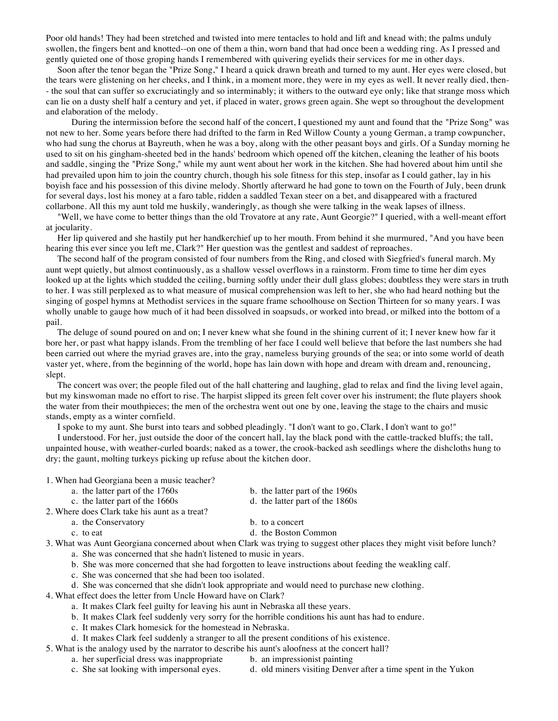Poor old hands! They had been stretched and twisted into mere tentacles to hold and lift and knead with; the palms unduly swollen, the fingers bent and knotted--on one of them a thin, worn band that had once been a wedding ring. As I pressed and gently quieted one of those groping hands I remembered with quivering eyelids their services for me in other days.

 Soon after the tenor began the "Prize Song," I heard a quick drawn breath and turned to my aunt. Her eyes were closed, but the tears were glistening on her cheeks, and I think, in a moment more, they were in my eyes as well. It never really died, then- - the soul that can suffer so excruciatingly and so interminably; it withers to the outward eye only; like that strange moss which can lie on a dusty shelf half a century and yet, if placed in water, grows green again. She wept so throughout the development and elaboration of the melody.

During the intermission before the second half of the concert, I questioned my aunt and found that the "Prize Song" was not new to her. Some years before there had drifted to the farm in Red Willow County a young German, a tramp cowpuncher, who had sung the chorus at Bayreuth, when he was a boy, along with the other peasant boys and girls. Of a Sunday morning he used to sit on his gingham-sheeted bed in the hands' bedroom which opened off the kitchen, cleaning the leather of his boots and saddle, singing the "Prize Song," while my aunt went about her work in the kitchen. She had hovered about him until she had prevailed upon him to join the country church, though his sole fitness for this step, insofar as I could gather, lay in his boyish face and his possession of this divine melody. Shortly afterward he had gone to town on the Fourth of July, been drunk for several days, lost his money at a faro table, ridden a saddled Texan steer on a bet, and disappeared with a fractured collarbone. All this my aunt told me huskily, wanderingly, as though she were talking in the weak lapses of illness.

 "Well, we have come to better things than the old Trovatore at any rate, Aunt Georgie?" I queried, with a well-meant effort at jocularity.

 Her lip quivered and she hastily put her handkerchief up to her mouth. From behind it she murmured, "And you have been hearing this ever since you left me, Clark?" Her question was the gentlest and saddest of reproaches.

 The second half of the program consisted of four numbers from the Ring, and closed with Siegfried's funeral march. My aunt wept quietly, but almost continuously, as a shallow vessel overflows in a rainstorm. From time to time her dim eyes looked up at the lights which studded the ceiling, burning softly under their dull glass globes; doubtless they were stars in truth to her. I was still perplexed as to what measure of musical comprehension was left to her, she who had heard nothing but the singing of gospel hymns at Methodist services in the square frame schoolhouse on Section Thirteen for so many years. I was wholly unable to gauge how much of it had been dissolved in soapsuds, or worked into bread, or milked into the bottom of a pail.

The deluge of sound poured on and on; I never knew what she found in the shining current of it; I never knew how far it bore her, or past what happy islands. From the trembling of her face I could well believe that before the last numbers she had been carried out where the myriad graves are, into the gray, nameless burying grounds of the sea; or into some world of death vaster yet, where, from the beginning of the world, hope has lain down with hope and dream with dream and, renouncing, slept.

 The concert was over; the people filed out of the hall chattering and laughing, glad to relax and find the living level again, but my kinswoman made no effort to rise. The harpist slipped its green felt cover over his instrument; the flute players shook the water from their mouthpieces; the men of the orchestra went out one by one, leaving the stage to the chairs and music stands, empty as a winter cornfield.

I spoke to my aunt. She burst into tears and sobbed pleadingly. "I don't want to go, Clark, I don't want to go!"

 I understood. For her, just outside the door of the concert hall, lay the black pond with the cattle-tracked bluffs; the tall, unpainted house, with weather-curled boards; naked as a tower, the crook-backed ash seedlings where the dishcloths hung to dry; the gaunt, molting turkeys picking up refuse about the kitchen door.

1. When had Georgiana been a music teacher?

- a. the latter part of the 1760s b. the latter part of the 1960s
	-
- c. the latter part of the 1660s d. the latter part of the 1860s
- 2. Where does Clark take his aunt as a treat?
	-
	-
	- a. the Conservatory b. to a concert
	- c. to eat d. the Boston Common

3. What was Aunt Georgiana concerned about when Clark was trying to suggest other places they might visit before lunch? a. She was concerned that she hadn't listened to music in years.

- b. She was more concerned that she had forgotten to leave instructions about feeding the weakling calf.
- c. She was concerned that she had been too isolated.
- d. She was concerned that she didn't look appropriate and would need to purchase new clothing.
- 4. What effect does the letter from Uncle Howard have on Clark?
	- a. It makes Clark feel guilty for leaving his aunt in Nebraska all these years.
	- b. It makes Clark feel suddenly very sorry for the horrible conditions his aunt has had to endure.
	- c. It makes Clark homesick for the homestead in Nebraska.
	- d. It makes Clark feel suddenly a stranger to all the present conditions of his existence.
- 5. What is the analogy used by the narrator to describe his aunt's aloofness at the concert hall?
	- a. her superficial dress was inappropriate b. an impressionist painting
	- c. She sat looking with impersonal eyes. d. old miners visiting Denver after a time spent in the Yukon